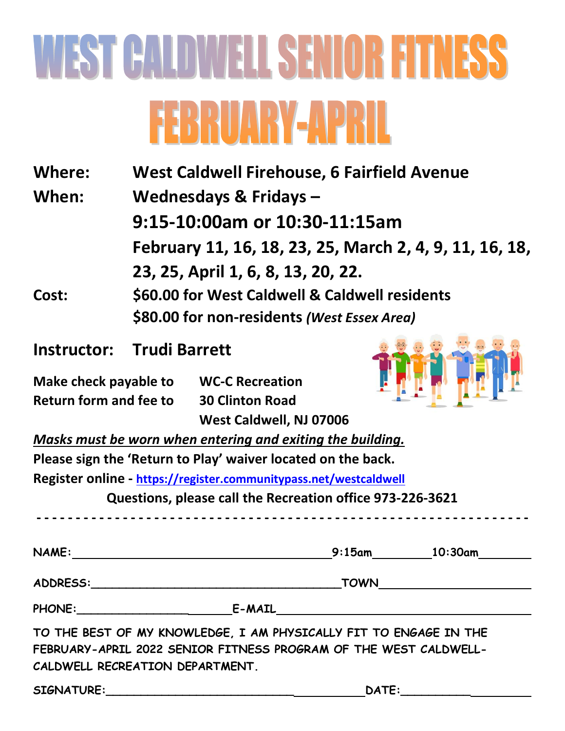## WEST CALDWELL SENIOR FITNESS **FEBRUARY-APRIL**

| Where:                                | <b>West Caldwell Firehouse, 6 Fairfield Avenue</b>                                                                                  |                         |                                                                                                                                       |  |  |  |  |
|---------------------------------------|-------------------------------------------------------------------------------------------------------------------------------------|-------------------------|---------------------------------------------------------------------------------------------------------------------------------------|--|--|--|--|
| Wednesdays & Fridays -<br>When:       |                                                                                                                                     |                         |                                                                                                                                       |  |  |  |  |
|                                       | 9:15-10:00am or 10:30-11:15am                                                                                                       |                         |                                                                                                                                       |  |  |  |  |
|                                       | February 11, 16, 18, 23, 25, March 2, 4, 9, 11, 16, 18,                                                                             |                         |                                                                                                                                       |  |  |  |  |
|                                       | 23, 25, April 1, 6, 8, 13, 20, 22.<br>\$60.00 for West Caldwell & Caldwell residents<br>\$80.00 for non-residents (West Essex Area) |                         |                                                                                                                                       |  |  |  |  |
| Cost:                                 |                                                                                                                                     |                         |                                                                                                                                       |  |  |  |  |
|                                       |                                                                                                                                     |                         |                                                                                                                                       |  |  |  |  |
| Instructor:                           | <b>Trudi Barrett</b>                                                                                                                |                         |                                                                                                                                       |  |  |  |  |
| Make check payable to WC-C Recreation |                                                                                                                                     |                         |                                                                                                                                       |  |  |  |  |
|                                       | Return form and fee to 30 Clinton Road                                                                                              |                         |                                                                                                                                       |  |  |  |  |
|                                       |                                                                                                                                     | West Caldwell, NJ 07006 |                                                                                                                                       |  |  |  |  |
|                                       | Masks must be worn when entering and exiting the building.                                                                          |                         |                                                                                                                                       |  |  |  |  |
|                                       | Please sign the 'Return to Play' waiver located on the back.                                                                        |                         |                                                                                                                                       |  |  |  |  |
|                                       | Register online - https://register.communitypass.net/westcaldwell                                                                   |                         |                                                                                                                                       |  |  |  |  |
|                                       | Questions, please call the Recreation office 973-226-3621                                                                           |                         |                                                                                                                                       |  |  |  |  |
| <b>NAME:</b>                          |                                                                                                                                     | $9:15$ am               | 10:30am                                                                                                                               |  |  |  |  |
|                                       |                                                                                                                                     |                         |                                                                                                                                       |  |  |  |  |
|                                       |                                                                                                                                     |                         | _TOWN___________________________                                                                                                      |  |  |  |  |
|                                       |                                                                                                                                     |                         |                                                                                                                                       |  |  |  |  |
|                                       | CALDWELL RECREATION DEPARTMENT.                                                                                                     |                         | TO THE BEST OF MY KNOWLEDGE, I AM PHYSICALLY FIT TO ENGAGE IN THE<br>FEBRUARY-APRIL 2022 SENIOR FITNESS PROGRAM OF THE WEST CALDWELL- |  |  |  |  |
|                                       | SIGNATURE: And the state of the state of the state of the state of the state of the state of the state of the                       |                         | DATE:                                                                                                                                 |  |  |  |  |